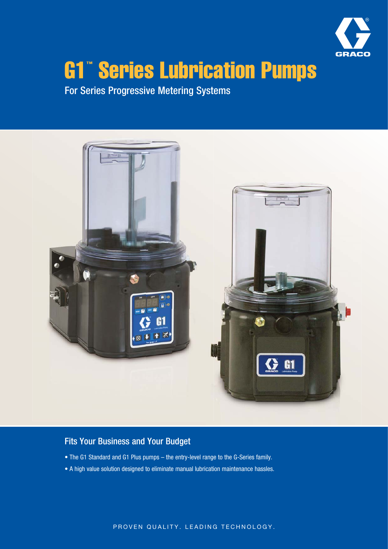

# G1™ Series Lubrication Pumps

For Series Progressive Metering Systems



## Fits Your Business and Your Budget

- The G1 Standard and G1 Plus pumps the entry-level range to the G-Series family.
- A high value solution designed to eliminate manual lubrication maintenance hassles.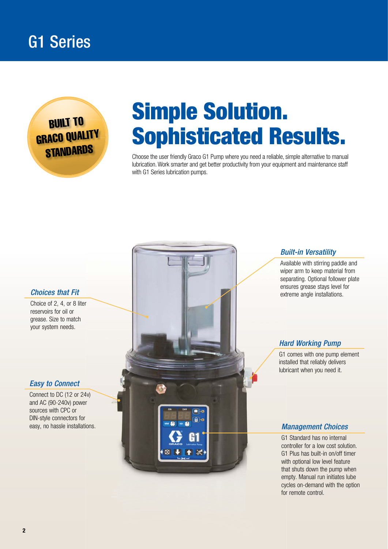## G1 Series



# Simple Solution. Sophisticated Results.

Choose the user friendly Graco G1 Pump where you need a reliable, simple alternative to manual lubrication. Work smarter and get better productivity from your equipment and maintenance staff with G1 Series lubrication pumps.

#### Choices that Fit

Choice of 2, 4, or 8 liter reservoirs for oil or grease. Size to match your system needs.

#### Easy to Connect

Connect to DC (12 or 24v) and AC (90-240v) power sources with CPC or DIN-style connectors for



#### Built-in Versatility

Available with stirring paddle and wiper arm to keep material from separating. Optional follower plate ensures grease stays level for extreme angle installations.

#### Hard Working Pump

 G1 comes with one pump element installed that reliably delivers lubricant when you need it.

G1 Standard has no internal controller for a low cost solution. G1 Plus has built-in on/off timer with optional low level feature that shuts down the pump when empty. Manual run initiates lube cycles on-demand with the option for remote control.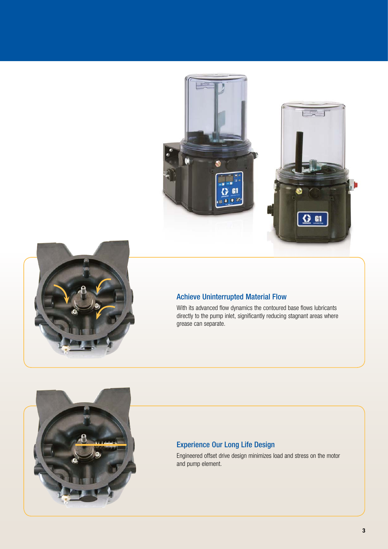



### Achieve Uninterrupted Material Flow

With its advanced flow dynamics the contoured base flows lubricants directly to the pump inlet, significantly reducing stagnant areas where grease can separate.



### Experience Our Long Life Design

Engineered offset drive design minimizes load and stress on the motor and pump element.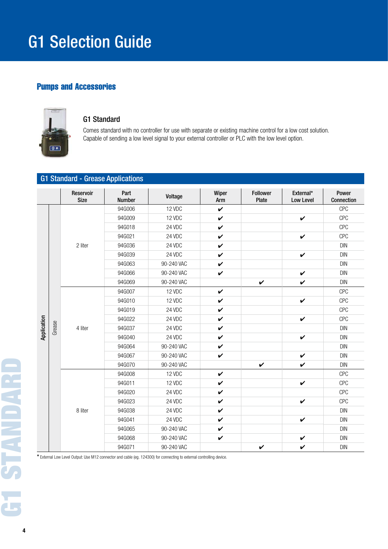# G1 Selection Guide

## Pumps and Accessories



#### G1 Standard

Comes standard with no controller for use with separate or existing machine control for a low cost solution. Capable of sending a low level signal to your external controller or PLC with the low level option.

|             | <b>G1 Standard - Grease Applications</b> |                          |                       |            |              |                          |                               |                     |
|-------------|------------------------------------------|--------------------------|-----------------------|------------|--------------|--------------------------|-------------------------------|---------------------|
|             |                                          | Reservoir<br><b>Size</b> | Part<br><b>Number</b> | Voltage    | Wiper<br>Arm | <b>Follower</b><br>Plate | External*<br><b>Low Level</b> | Power<br>Connection |
|             |                                          | 2 liter                  | 94G006                | 12 VDC     | $\checkmark$ |                          |                               | <b>CPC</b>          |
|             |                                          |                          | 94G009                | 12 VDC     | $\checkmark$ |                          | $\checkmark$                  | <b>CPC</b>          |
|             |                                          |                          | 94G018                | 24 VDC     | $\checkmark$ |                          |                               | <b>CPC</b>          |
|             |                                          |                          | 94G021                | 24 VDC     | $\checkmark$ |                          | V                             | <b>CPC</b>          |
|             |                                          |                          | 94G036                | 24 VDC     | $\checkmark$ |                          |                               | <b>DIN</b>          |
|             |                                          |                          | 94G039                | 24 VDC     | $\checkmark$ |                          | $\checkmark$                  | <b>DIN</b>          |
|             |                                          |                          | 94G063                | 90-240 VAC | $\checkmark$ |                          |                               | <b>DIN</b>          |
|             |                                          |                          | 94G066                | 90-240 VAC | $\checkmark$ |                          | $\checkmark$                  | <b>DIN</b>          |
|             |                                          |                          | 94G069                | 90-240 VAC |              | $\boldsymbol{\nu}$       | V                             | <b>DIN</b>          |
|             |                                          | 4 liter                  | 94G007                | 12 VDC     | $\checkmark$ |                          |                               | <b>CPC</b>          |
|             |                                          |                          | 94G010                | 12 VDC     | $\checkmark$ |                          | $\checkmark$                  | <b>CPC</b>          |
|             |                                          |                          | 94G019                | 24 VDC     | $\checkmark$ |                          |                               | <b>CPC</b>          |
|             | Grease                                   |                          | 94G022                | 24 VDC     | $\checkmark$ |                          | V                             | <b>CPC</b>          |
| Application |                                          |                          | 94G037                | 24 VDC     | $\checkmark$ |                          |                               | <b>DIN</b>          |
|             |                                          |                          | 94G040                | 24 VDC     | $\checkmark$ |                          | $\checkmark$                  | <b>DIN</b>          |
|             |                                          |                          | 94G064                | 90-240 VAC | $\checkmark$ |                          |                               | <b>DIN</b>          |
|             |                                          |                          | 94G067                | 90-240 VAC | $\checkmark$ |                          | $\checkmark$                  | <b>DIN</b>          |
|             |                                          |                          | 94G070                | 90-240 VAC |              | V                        | $\checkmark$                  | <b>DIN</b>          |
|             |                                          |                          | 94G008                | 12 VDC     | $\checkmark$ |                          |                               | <b>CPC</b>          |
|             |                                          | 8 liter                  | 94G011                | 12 VDC     | $\checkmark$ |                          | $\checkmark$                  | <b>CPC</b>          |
|             |                                          |                          | 94G020                | 24 VDC     | $\checkmark$ |                          |                               | <b>CPC</b>          |
|             |                                          |                          | 94G023                | 24 VDC     | $\checkmark$ |                          | V                             | <b>CPC</b>          |
|             |                                          |                          | 94G038                | 24 VDC     | $\checkmark$ |                          |                               | <b>DIN</b>          |
|             |                                          |                          | 94G041                | 24 VDC     | $\checkmark$ |                          | $\checkmark$                  | <b>DIN</b>          |
|             |                                          |                          | 94G065                | 90-240 VAC | $\checkmark$ |                          |                               | <b>DIN</b>          |
|             |                                          |                          | 94G068                | 90-240 VAC | $\checkmark$ |                          | V                             | <b>DIN</b>          |
|             |                                          |                          | 94G071                | 90-240 VAC |              | $\checkmark$             | $\checkmark$                  | <b>DIN</b>          |

\* External Low Level Output: Use M12 connector and cable (eg. 124300) for connecting to external controlling device.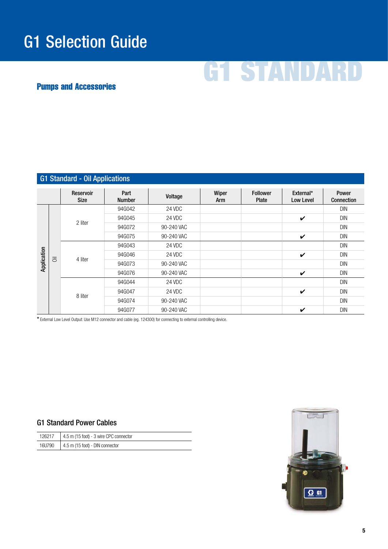# G1 Selection Guide

# G1 STANDARD

## Pumps and Accessories

| <b>G1 Standard - Oil Applications</b> |                |                          |                       |            |              |                                 |                        |                                                      |
|---------------------------------------|----------------|--------------------------|-----------------------|------------|--------------|---------------------------------|------------------------|------------------------------------------------------|
|                                       |                | Reservoir<br><b>Size</b> | Part<br><b>Number</b> | Voltage    | Wiper<br>Arm | <b>Follower</b><br><b>Plate</b> | External*<br>Low Level | Power<br>Connection                                  |
| Application                           |                | 2 liter                  | 94G042                | 24 VDC     |              |                                 |                        | <b>DIN</b>                                           |
|                                       |                |                          | 94G045                | 24 VDC     |              |                                 | V                      | <b>DIN</b>                                           |
|                                       |                |                          | 94G072                | 90-240 VAC |              |                                 |                        | <b>DIN</b>                                           |
|                                       |                |                          | 94G075                | 90-240 VAC |              |                                 | V                      | <b>DIN</b>                                           |
|                                       |                |                          | 94G043                | 24 VDC     |              |                                 |                        | <b>DIN</b>                                           |
|                                       | $\overline{5}$ |                          | 94G046                | 24 VDC     |              |                                 | V                      | <b>DIN</b>                                           |
|                                       |                | 4 liter                  | 94G073                | 90-240 VAC |              |                                 |                        | <b>DIN</b><br><b>DIN</b>                             |
|                                       |                |                          | 94G076                | 90-240 VAC |              |                                 | V                      |                                                      |
|                                       |                |                          | 94G044                | 24 VDC     |              |                                 |                        | <b>DIN</b><br><b>DIN</b><br><b>DIN</b><br><b>DIN</b> |
|                                       |                | 8 liter                  | 94G047                | 24 VDC     |              |                                 | V                      |                                                      |
|                                       |                |                          | 94G074                | 90-240 VAC |              |                                 |                        |                                                      |
|                                       |                |                          | 94G077                | 90-240 VAC |              |                                 | V                      |                                                      |

\* External Low Level Output: Use M12 connector and cable (eg. 124300) for connecting to external controlling device.

#### G1 Standard Power Cables

| 126217 | 4.5 m (15 foot) - 3 wire CPC connector |
|--------|----------------------------------------|
| 16U790 | 4.5 m (15 foot) - DIN connector        |

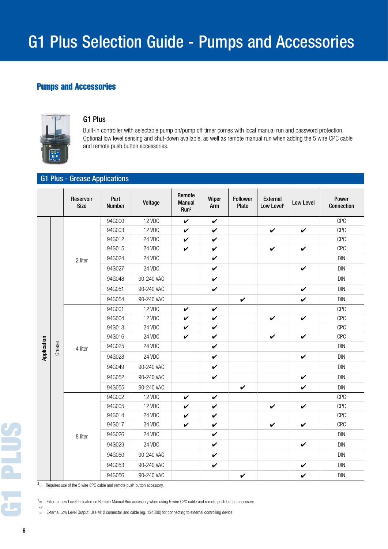### Pumps and Accessories



#### G1 Plus

Built-in controller with selectable pump on/pump off timer comes with local manual run and password protection. Optional low level sensing and shut-down available, as well as remote manual run when adding the 5 wire CPC cable and remote push button accessories.

#### G1 Plus - Grease Applications

|             |        | Reservoir<br><b>Size</b> | Part<br><b>Number</b> | Voltage    | Remote<br><b>Manual</b><br>Run <sup>2</sup> | Wiper<br>Arm       | <b>Follower</b><br>Plate | <b>External</b><br>Low Level <sup>1</sup> | Low Level          | Power<br>Connection                                                                            |
|-------------|--------|--------------------------|-----------------------|------------|---------------------------------------------|--------------------|--------------------------|-------------------------------------------|--------------------|------------------------------------------------------------------------------------------------|
|             |        | 2 liter                  | 94G000                | 12 VDC     | $\boldsymbol{\nu}$                          | $\boldsymbol{\nu}$ |                          |                                           |                    | <b>CPC</b>                                                                                     |
|             |        |                          | 94G003                | 12 VDC     | V                                           | V                  |                          | V                                         | $\checkmark$       | CPC                                                                                            |
|             |        |                          | 94G012                | 24 VDC     | V                                           | V                  |                          |                                           |                    | CPC                                                                                            |
|             |        |                          | 94G015                | 24 VDC     | $\checkmark$                                | V                  |                          | $\checkmark$                              | $\checkmark$       | CPC                                                                                            |
|             |        |                          | 94G024                | 24 VDC     |                                             | $\boldsymbol{\nu}$ |                          |                                           |                    | <b>DIN</b>                                                                                     |
|             |        |                          | 94G027                | 24 VDC     |                                             | V                  |                          |                                           | $\checkmark$       | <b>DIN</b>                                                                                     |
|             |        |                          | 94G048                | 90-240 VAC |                                             | $\checkmark$       |                          |                                           |                    | DIN                                                                                            |
|             |        |                          | 94G051                | 90-240 VAC |                                             | $\checkmark$       |                          |                                           | $\boldsymbol{\nu}$ | <b>DIN</b>                                                                                     |
|             |        |                          | 94G054                | 90-240 VAC |                                             |                    | $\boldsymbol{\nu}$       |                                           | $\boldsymbol{\nu}$ | <b>DIN</b>                                                                                     |
|             |        |                          | 94G001                | 12 VDC     | V                                           | $\checkmark$       |                          |                                           |                    | CPC<br>CPC<br>CPC<br>CPC<br><b>DIN</b><br><b>DIN</b><br><b>DIN</b><br><b>DIN</b><br><b>DIN</b> |
|             |        | 4 liter                  | 94G004                | 12 VDC     | V                                           | V                  |                          | $\boldsymbol{\nu}$                        | $\checkmark$       |                                                                                                |
|             | Grease |                          | 94G013                | 24 VDC     | V                                           | V                  |                          |                                           |                    |                                                                                                |
| Application |        |                          | 94G016                | 24 VDC     | $\checkmark$                                | $\boldsymbol{\nu}$ |                          | $\boldsymbol{\nu}$                        | $\checkmark$       |                                                                                                |
|             |        |                          | 94G025                | 24 VDC     |                                             | $\checkmark$       |                          |                                           |                    |                                                                                                |
|             |        |                          | 94G028                | 24 VDC     |                                             | V                  |                          |                                           | $\checkmark$       |                                                                                                |
|             |        |                          | 94G049                | 90-240 VAC |                                             | V                  |                          |                                           |                    |                                                                                                |
|             |        |                          | 94G052                | 90-240 VAC |                                             | $\checkmark$       |                          |                                           | V                  |                                                                                                |
|             |        |                          | 94G055                | 90-240 VAC |                                             |                    | $\checkmark$             |                                           | V                  |                                                                                                |
|             |        |                          | 94G002                | 12 VDC     | V                                           | V                  |                          |                                           |                    | CPC                                                                                            |
|             |        |                          | 94G005                | 12 VDC     | V                                           | V                  |                          | V                                         | $\checkmark$       | CPC                                                                                            |
|             |        |                          | 94G014                | 24 VDC     | $\boldsymbol{\nu}$                          | $\boldsymbol{\nu}$ |                          |                                           |                    | CPC                                                                                            |
|             |        | 8 liter                  | 94G017                | 24 VDC     | $\checkmark$                                | $\checkmark$       |                          | $\checkmark$                              | $\checkmark$       | CPC                                                                                            |
|             |        |                          | 94G026                | 24 VDC     |                                             | V                  |                          |                                           |                    | <b>DIN</b>                                                                                     |
|             |        |                          | 94G029                | 24 VDC     |                                             | V                  |                          |                                           | $\checkmark$       | DIN                                                                                            |
|             |        |                          | 94G050                | 90-240 VAC |                                             | V                  |                          |                                           |                    | <b>DIN</b>                                                                                     |
|             |        |                          | 94G053                | 90-240 VAC |                                             | $\checkmark$       |                          |                                           | $\checkmark$       | <b>DIN</b>                                                                                     |
|             |        |                          | 94G056                | 90-240 VAC |                                             |                    | $\checkmark$             |                                           | $\checkmark$       | <b>DIN</b>                                                                                     |

 $2 =$  Requires use of the 5 wire CPC cable and remote push button accessory.

<sup>1</sup> = External Low Level indicated on Remote Manual Run accessory when using 5 wire CPC cable and remote push button accessory.

= External Low Level Output: Use M12 connector and cable (eg. 124300) for connecting to external controlling device.

or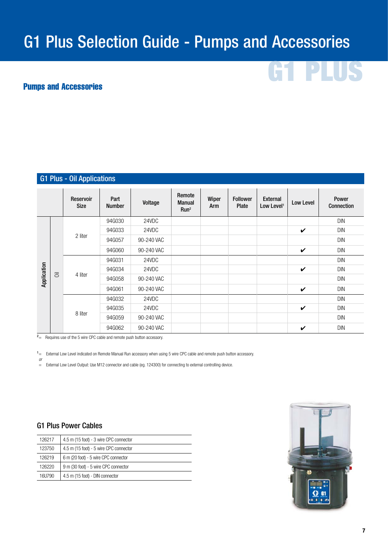# G1 Plus Selection Guide - Pumps and Accessories

#### Pumps and Accessories

#### Reservoir Size Part Part Voltage Remote Manual Run2 Wiper Arm Follower Plate External External Low Level Power Connection Application Oil 2 liter 94G030 24VDC 2012 2013 2014 2022 2023 2024 2024 2030 204 205 206 207 208 209 209 209 20 94G033 24VDC  $\overline{\phantom{a}}$  DIN 94G057 90-240 VAC DIN DIN DIN DIN DIN 94G060 90-240 VAC  $\overrightarrow{ }$  DIN 4 liter 94G031 24VDC DIN 94G034 24VDC  $\overline{\phantom{a}}$  DIN 94G058 90-240 VAC DIN DIN DIN DIN 94G061 90-240 VAC  $\overrightarrow{ }$  DIN 8 liter 94G032 24VDC DIN 94G035 24VDC  $\overline{\phantom{a}}$  DIN 94G059 90-240 VAC DIN 94G062 90-240 VAC  $\overrightarrow{ }$  DIN G1 Plus - Oil Applications

 $2\overline{)}$ Requires use of the 5 wire CPC cable and remote push button accessory.

<sup>1</sup> = External Low Level indicated on Remote Manual Run accessory when using 5 wire CPC cable and remote push button accessory.

= External Low Level Output: Use M12 connector and cable (eg. 124300) for connecting to external controlling device.

#### G1 Plus Power Cables

or

| 126217 | 4.5 m (15 foot) - 3 wire CPC connector |
|--------|----------------------------------------|
| 123750 | 4.5 m (15 foot) - 5 wire CPC connector |
| 126219 | 6 m (20 foot) - 5 wire CPC connector   |
| 126220 | 9 m (30 foot) - 5 wire CPC connector   |
| 161790 | 4.5 m (15 foot) - DIN connector        |



PL